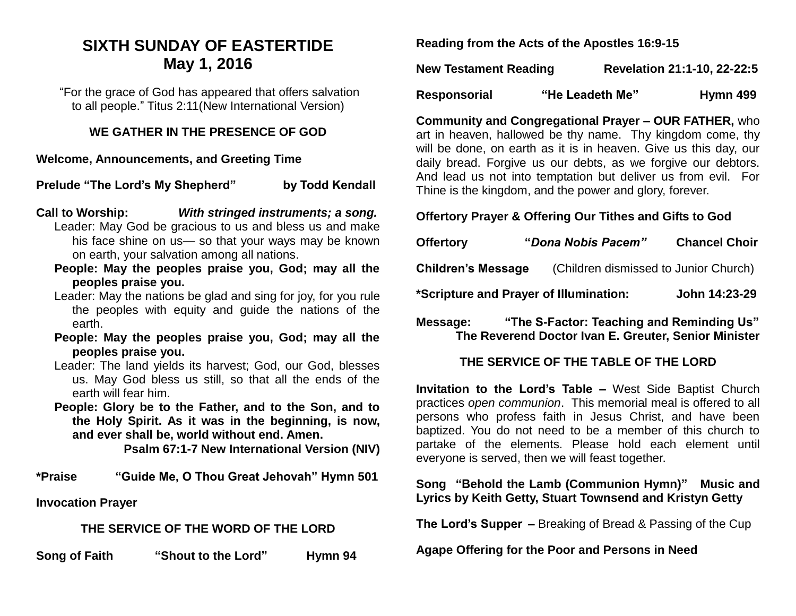# **SIXTH SUNDAY OF EASTERTIDE May 1, 2016**

"For the grace of God has appeared that offers salvation to all people." Titus 2:11(New International Version)

#### **WE GATHER IN THE PRESENCE OF GOD**

**Welcome, Announcements, and Greeting Time** 

**Prelude "The Lord's My Shepherd"** by Todd Kendall

- **Call to Worship:** *With stringed instruments; a song.* Leader: May God be gracious to us and bless us and make his face shine on us— so that your ways may be known on earth, your salvation among all nations.
	- **People: May the peoples praise you, God; may all the peoples praise you.**
	- Leader: May the nations be glad and sing for joy, for you rule the peoples with equity and guide the nations of the earth.
	- **People: May the peoples praise you, God; may all the peoples praise you.**
	- Leader: The land yields its harvest; God, our God, blesses us. May God bless us still, so that all the ends of the earth will fear him.
	- **People: Glory be to the Father, and to the Son, and to the Holy Spirit. As it was in the beginning, is now, and ever shall be, world without end. Amen.**

**Psalm 67:1-7 New International Version (NIV)**

**\*Praise "Guide Me, O Thou Great Jehovah" Hymn 501**

**Invocation Prayer**

### **THE SERVICE OF THE WORD OF THE LORD**

**Song of Faith "Shout to the Lord" Hymn 94**

**Reading from the Acts of the Apostles 16:9-15**

| <b>New Testament Reading</b> | Revelation 21:1-10, 22-22:5 |
|------------------------------|-----------------------------|
|                              |                             |

Responsorial "He Leadeth Me" Hymn 499

**Community and Congregational Prayer – OUR FATHER,** who art in heaven, hallowed be thy name. Thy kingdom come, thy will be done, on earth as it is in heaven. Give us this day, our daily bread. Forgive us our debts, as we forgive our debtors. And lead us not into temptation but deliver us from evil. For Thine is the kingdom, and the power and glory, forever.

## **Offertory Prayer & Offering Our Tithes and Gifts to God**

| <b>Offertory</b>          | "Dona Nobis Pacem"                     | <b>Chancel Choir</b> |
|---------------------------|----------------------------------------|----------------------|
| <b>Children's Message</b> | (Children dismissed to Junior Church)  |                      |
|                           | *Scripture and Prayer of Illumination: | John 14:23-29        |

**Message: "The S-Factor: Teaching and Reminding Us" The Reverend Doctor Ivan E. Greuter, Senior Minister**

# **THE SERVICE OF THE TABLE OF THE LORD**

**Invitation to the Lord's Table –** West Side Baptist Church practices *open communion*. This memorial meal is offered to all persons who profess faith in Jesus Christ, and have been baptized. You do not need to be a member of this church to partake of the elements. Please hold each element until everyone is served, then we will feast together.

### **Song "Behold the Lamb (Communion Hymn)" Music and Lyrics by Keith Getty, Stuart Townsend and Kristyn Getty**

**The Lord's Supper –** Breaking of Bread & Passing of the Cup

**Agape Offering for the Poor and Persons in Need**